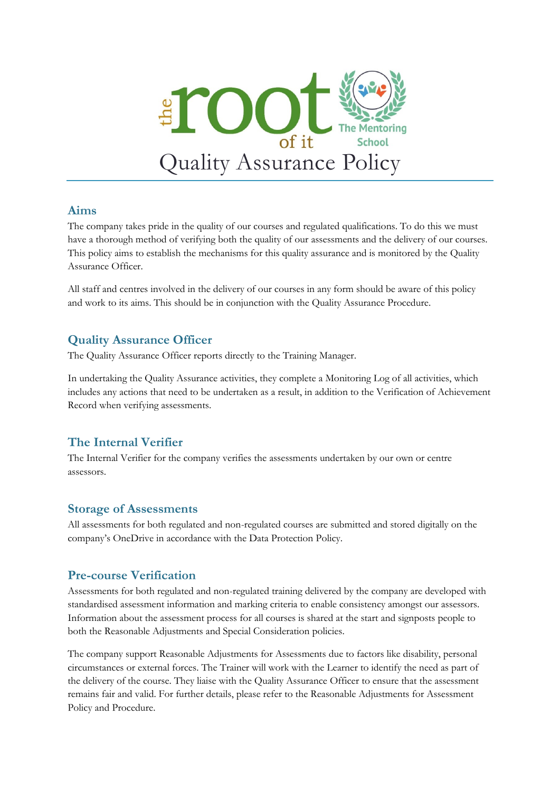

### **Aims**

The company takes pride in the quality of our courses and regulated qualifications. To do this we must have a thorough method of verifying both the quality of our assessments and the delivery of our courses. This policy aims to establish the mechanisms for this quality assurance and is monitored by the Quality Assurance Officer.

All staff and centres involved in the delivery of our courses in any form should be aware of this policy and work to its aims. This should be in conjunction with the Quality Assurance Procedure.

# **Quality Assurance Officer**

The Quality Assurance Officer reports directly to the Training Manager.

In undertaking the Quality Assurance activities, they complete a Monitoring Log of all activities, which includes any actions that need to be undertaken as a result, in addition to the Verification of Achievement Record when verifying assessments.

# **The Internal Verifier**

The Internal Verifier for the company verifies the assessments undertaken by our own or centre assessors.

# **Storage of Assessments**

All assessments for both regulated and non-regulated courses are submitted and stored digitally on the company's OneDrive in accordance with the Data Protection Policy.

# **Pre-course Verification**

Assessments for both regulated and non-regulated training delivered by the company are developed with standardised assessment information and marking criteria to enable consistency amongst our assessors. Information about the assessment process for all courses is shared at the start and signposts people to both the Reasonable Adjustments and Special Consideration policies.

The company support Reasonable Adjustments for Assessments due to factors like disability, personal circumstances or external forces. The Trainer will work with the Learner to identify the need as part of the delivery of the course. They liaise with the Quality Assurance Officer to ensure that the assessment remains fair and valid. For further details, please refer to the Reasonable Adjustments for Assessment Policy and Procedure.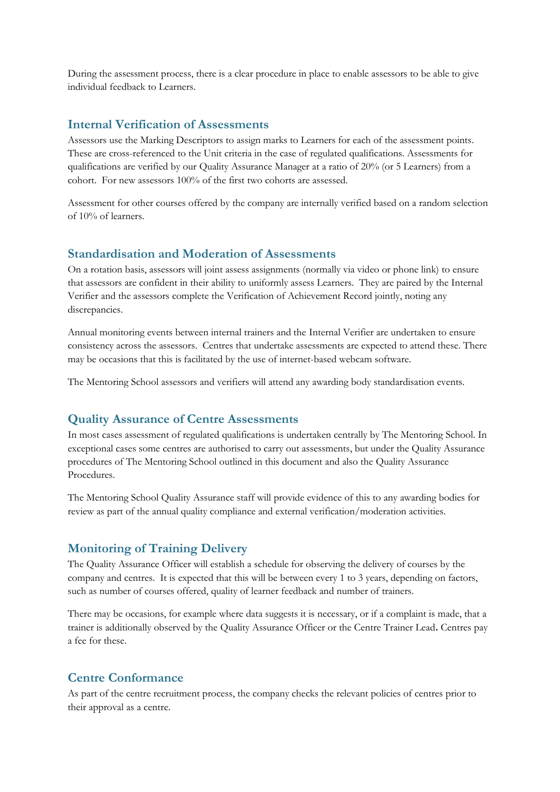During the assessment process, there is a clear procedure in place to enable assessors to be able to give individual feedback to Learners.

### **Internal Verification of Assessments**

Assessors use the Marking Descriptors to assign marks to Learners for each of the assessment points. These are cross-referenced to the Unit criteria in the case of regulated qualifications. Assessments for qualifications are verified by our Quality Assurance Manager at a ratio of 20% (or 5 Learners) from a cohort. For new assessors 100% of the first two cohorts are assessed.

Assessment for other courses offered by the company are internally verified based on a random selection of 10% of learners.

#### **Standardisation and Moderation of Assessments**

On a rotation basis, assessors will joint assess assignments (normally via video or phone link) to ensure that assessors are confident in their ability to uniformly assess Learners. They are paired by the Internal Verifier and the assessors complete the Verification of Achievement Record jointly, noting any discrepancies.

Annual monitoring events between internal trainers and the Internal Verifier are undertaken to ensure consistency across the assessors. Centres that undertake assessments are expected to attend these. There may be occasions that this is facilitated by the use of internet-based webcam software.

The Mentoring School assessors and verifiers will attend any awarding body standardisation events.

#### **Quality Assurance of Centre Assessments**

In most cases assessment of regulated qualifications is undertaken centrally by The Mentoring School. In exceptional cases some centres are authorised to carry out assessments, but under the Quality Assurance procedures of The Mentoring School outlined in this document and also the Quality Assurance Procedures.

The Mentoring School Quality Assurance staff will provide evidence of this to any awarding bodies for review as part of the annual quality compliance and external verification/moderation activities.

#### **Monitoring of Training Delivery**

The Quality Assurance Officer will establish a schedule for observing the delivery of courses by the company and centres. It is expected that this will be between every 1 to 3 years, depending on factors, such as number of courses offered, quality of learner feedback and number of trainers.

There may be occasions, for example where data suggests it is necessary, or if a complaint is made, that a trainer is additionally observed by the Quality Assurance Officer or the Centre Trainer Lead**.** Centres pay a fee for these.

#### **Centre Conformance**

As part of the centre recruitment process, the company checks the relevant policies of centres prior to their approval as a centre.